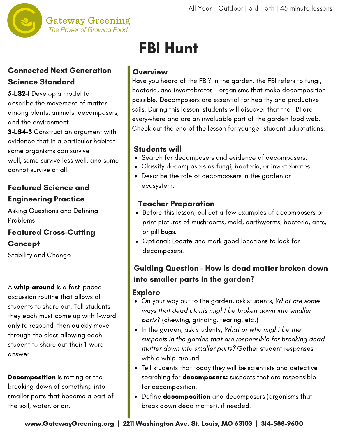

#### **Gateway Greening** The Power of Growing Food

## Connected Next Generation Science Standard

5-LS2-1 Develop a model to describe the movement of matter among plants, animals, decomposers, and the environment.

3-LS4-3 Construct an argument with evidence that in a particular habitat some organisms can survive well, some survive less well, and some cannot survive at all.

## Featured Science and Engineering Practice

Asking Questions and Defining Problems

### Featured Cross-Cutting Concept

Stability and Change

A whip-around is a fast-paced dscussion routine that allows all students to share out. Tell students they each must come up with 1-word only to respond, then quickly move through the class allowing each student to share out their 1-word answer.

Decomposition is rotting or the breaking down of something into smaller parts that become a part of the soil, water, or air.

# FBI Hunt

## **Overview**

Have you heard of the FBI? In the garden, the FBI refers to fungi, bacteria, and invertebrates - organisms that make decomposition possible. Decomposers are essential for healthy and productive soils. During this lesson, students will discover that the FBI are everywhere and are an invaluable part of the garden food web. Check out the end of the lesson for younger student adaptations.

### Students will

- Search for decomposers and evidence of decomposers.
- Classify decomposers as fungi, bacteria, or invertebrates.
- Describe the role of decomposers in the garden or ecosystem.

### Teacher Preparation

- Before this lesson, collect a few examples of decomposers or print pictures of mushrooms, mold, earthworms, bacteria, ants, or pill bugs.
- Optional: Locate and mark good locations to look for [decomposers.](https://pixabay.com/photos/agar-breeding-ground-red-60571/)

# Guiding Question - How is dead matter broken down into smaller parts in the garden?

#### Explore

- On your way out to the garden, ask students, What are some ways that dead plants might be broken down into smaller parts? (chewing, grinding, tearing, etc.)
- In the garden, ask students, What or who might be the suspects in the garden that are responsible for breaking dead matter down into smaller parts? Gather student responses with a whip-around.
- Tell students that today they will be scientists and detective searching for **decomposers:** suspects that are responsible for decomposition.
- Define **decomposition** and decomposers (organisms that break down dead matter), if needed.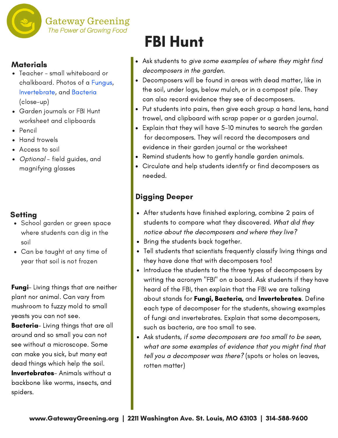

#### **Materials**

- Teacher small whiteboard or chalkboard. Photos of a Fungus, [Invertebrate,](https://pixabay.com/photos/agar-breeding-ground-red-60571/) and Bacteria (close-up)
- Garden journals or FBI Hunt worksheet and clipboards
- Pencil
- Hand trowels
- Access to soil
- Optional field guides, and magnifying glasses

#### **Setting**

- School garden or green space where students can dig in the soil
- Can be taught at any time of year that soil is not frozen

**Fungi**- Living things that are neither plant nor animal. Can vary from mushroom to fuzzy mold to small yeasts you can not see.

Bacteria- Living things that are all around and so small you can not see without a microscope. Some can make you sick, but many eat dead things which help the soil. **Invertebrates**- Animals without a backbone like worms, insects, and spiders.

# FBI Hunt

- Ask students to give some examples of where they might find decomposers in the garden.
- Decomposers will be found in areas with dead matter, like in the soil, under logs, below mulch, or in a compost pile. They can also record evidence they see of decomposers.
- Put students into pairs, then give each group a hand lens, hand trowel, and clipboard with scrap paper or a garden journal.
- Explain that they will have 5-10 minutes to search the garden for decomposers. They will record the decomposers and evidence in their garden journal or the worksheet
- Remind students how to gently handle garden animals.
- Circulate and help students identify or find decomposers as needed.

### Digging Deeper

- After students have finished exploring, combine 2 pairs of students to compare what they discovered. What did they notice about the decomposers and where they live?
- Bring the students back together.
- Tell students that scientists frequently classify living things and they have done that with decomposers too!
- Introduce the students to the three types of decomposers by writing the acronym "FBI" on a board. Ask students if they have heard of the FBI, then explain that the FBI we are talking about stands for Fungi, Bacteria, and Invertebrates. Define each type of decomposer for the students, showing examples of fungi and invertebrates. Explain that some decomposers, such as bacteria, are too small to see.
- Ask students, if some decomposers are too small to be seen, what are some examples of evidence that you might find that tell you a decomposer was there? (spots or holes on leaves, rotten matter)